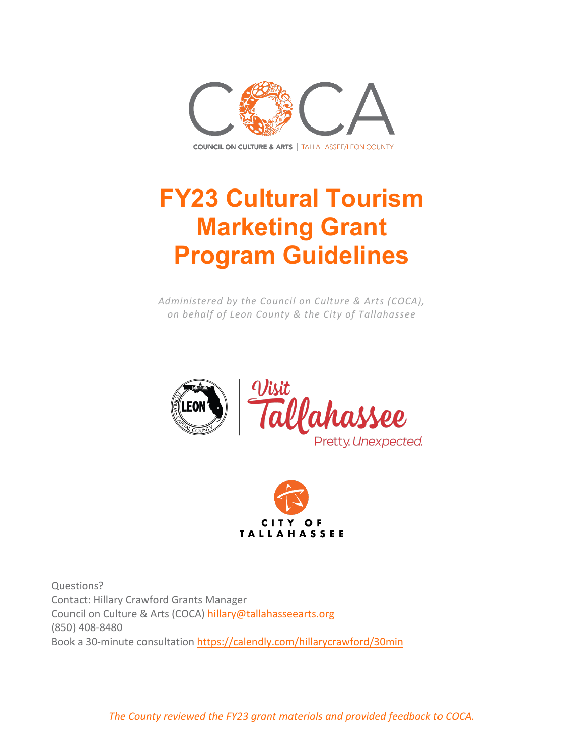

# **FY23 Cultural Tourism Marketing Grant Program Guidelines**

*Administered by the Council on Culture & Arts (COCA), on behalf of Leon County & the City of Tallahassee*





Questions? Contact: Hillary Crawford Grants Manager Council on Culture & Arts (COCA) [hillary@tallahasseearts.org](mailto:hillary@tallahasseearts.org) (850) 408-8480 Book a 30-minute consultation<https://calendly.com/hillarycrawford/30min>

*The County reviewed the FY23 grant materials and provided feedback to COCA.*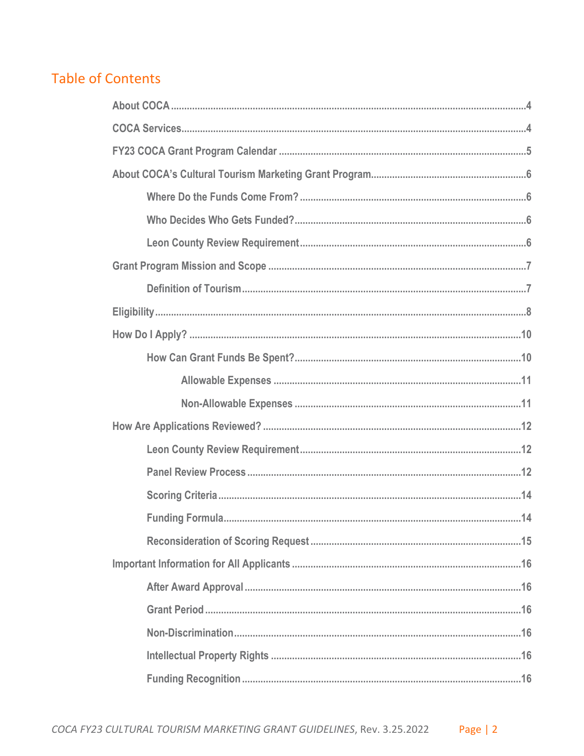# **Table of Contents**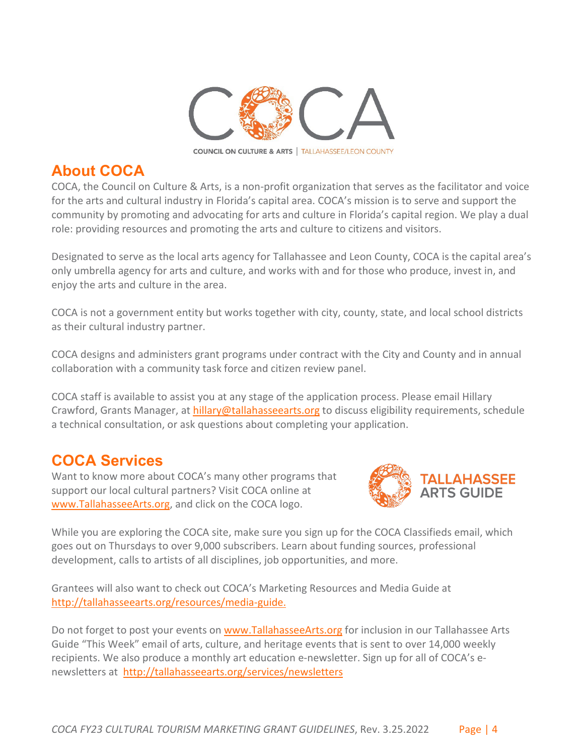

# <span id="page-3-0"></span>**About COCA**

COCA, the Council on Culture & Arts, is a non-profit organization that serves as the facilitator and voice for the arts and cultural industry in Florida's capital area. COCA's mission is to serve and support the community by promoting and advocating for arts and culture in Florida's capital region. We play a dual role: providing resources and promoting the arts and culture to citizens and visitors.

Designated to serve as the local arts agency for Tallahassee and Leon County, COCA is the capital area's only umbrella agency for arts and culture, and works with and for those who produce, invest in, and enjoy the arts and culture in the area.

COCA is not a government entity but works together with city, county, state, and local school districts as their cultural industry partner.

COCA designs and administers grant programs under contract with the City and County and in annual collaboration with a community task force and citizen review panel.

COCA staff is available to assist you at any stage of the application process. Please email Hillary Crawford, Grants Manager, at [hillary@tallahasseearts.org](mailto:hillary@tallahasseearts.org) to discuss eligibility requirements, schedule a technical consultation, or ask questions about completing your application.

# <span id="page-3-1"></span>**COCA Services**

Want to know more about COCA's many other programs that support our local cultural partners? Visit COCA online at [www.TallahasseeArts.org,](https://www.tallahasseearts.org/) and click on the COCA logo.



While you are exploring the COCA site, make sure you sign up for the COCA Classifieds email, which goes out on Thursdays to over 9,000 subscribers. Learn about funding sources, professional development, calls to artists of all disciplines, job opportunities, and more.

Grantees will also want to check out COCA's Marketing Resources and Media Guide at <http://tallahasseearts.org/resources/media-guide.>

Do not forget to post your events on [www.TallahasseeArts.org](http://www.tallahasseearts.org/) for inclusion in our Tallahassee Arts Guide "This Week" email of arts, culture, and heritage events that is sent to over 14,000 weekly recipients. We also produce a monthly art education e-newsletter. Sign up for all of COCA's enewsletters at <http://tallahasseearts.org/services/newsletters>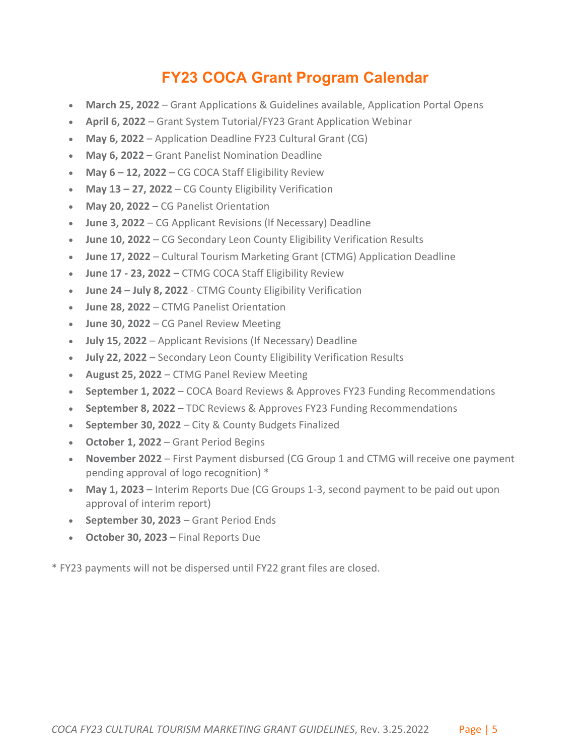# **FY23 COCA Grant Program Calendar**

- <span id="page-4-0"></span>• **March 25, 2022** – Grant Applications & Guidelines available, Application Portal Opens
- **April 6, 2022** Grant System Tutorial/FY23 Grant Application Webinar
- **May 6, 2022** Application Deadline FY23 Cultural Grant (CG)
- **May 6, 2022** Grant Panelist Nomination Deadline
- **May 6 – 12, 2022** CG COCA Staff Eligibility Review
- **May 13 – 27, 2022** CG County Eligibility Verification
- **May 20, 2022** CG Panelist Orientation
- **June 3, 2022** CG Applicant Revisions (If Necessary) Deadline
- **June 10, 2022** CG Secondary Leon County Eligibility Verification Results
- **June 17, 2022** Cultural Tourism Marketing Grant (CTMG) Application Deadline
- **June 17 - 23, 2022 –** CTMG COCA Staff Eligibility Review
- **June 24 – July 8, 2022** CTMG County Eligibility Verification
- **June 28, 2022** CTMG Panelist Orientation
- **June 30, 2022** CG Panel Review Meeting
- **July 15, 2022** Applicant Revisions (If Necessary) Deadline
- **July 22, 2022** Secondary Leon County Eligibility Verification Results
- **August 25, 2022** CTMG Panel Review Meeting
- **September 1, 2022** COCA Board Reviews & Approves FY23 Funding Recommendations
- **September 8, 2022** TDC Reviews & Approves FY23 Funding Recommendations
- **September 30, 2022** City & County Budgets Finalized
- **October 1, 2022**  Grant Period Begins
- **November 2022** First Payment disbursed (CG Group 1 and CTMG will receive one payment pending approval of logo recognition) \*
- **May 1, 2023**  Interim Reports Due (CG Groups 1-3, second payment to be paid out upon approval of interim report)
- **September 30, 2023** Grant Period Ends
- **October 30, 2023** Final Reports Due

\* FY23 payments will not be dispersed until FY22 grant files are closed.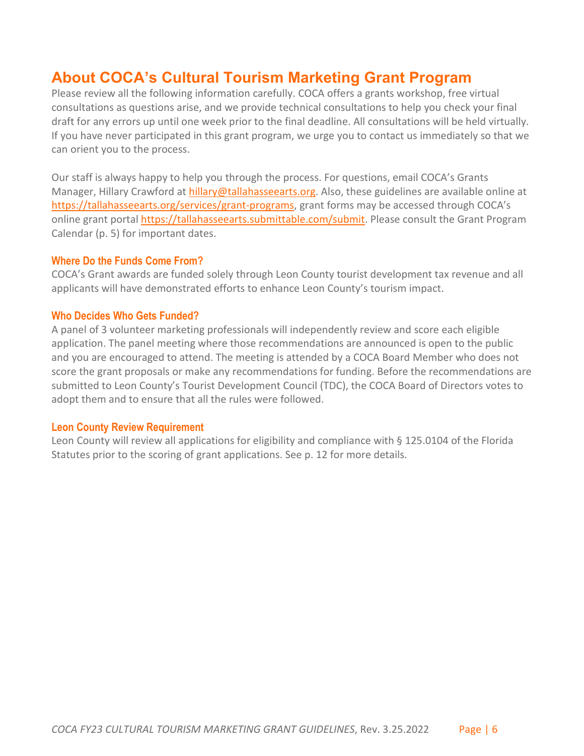# <span id="page-5-0"></span>**About COCA's Cultural Tourism Marketing Grant Program**

Please review all the following information carefully. COCA offers a grants workshop, free virtual consultations as questions arise, and we provide technical consultations to help you check your final draft for any errors up until one week prior to the final deadline. All consultations will be held virtually. If you have never participated in this grant program, we urge you to contact us immediately so that we can orient you to the process.

Our staff is always happy to help you through the process. For questions, email COCA's Grants Manager, Hillary Crawford at [hillary@tallahasseearts.org.](mailto:hillary@tallahasseearts.org) Also, these guidelines are available online at [https://tallahasseearts.org/services/grant-programs,](https://tallahasseearts.org/services/grant-programs) grant forms may be accessed through COCA's online grant portal [https://tallahasseearts.submittable.com/submit.](https://tallahasseearts.submittable.com/submit) Please consult the Grant Program Calendar (p. 5) for important dates.

#### <span id="page-5-1"></span>**Where Do the Funds Come From?**

COCA's Grant awards are funded solely through Leon County tourist development tax revenue and all applicants will have demonstrated efforts to enhance Leon County's tourism impact.

#### <span id="page-5-2"></span>**Who Decides Who Gets Funded?**

A panel of 3 volunteer marketing professionals will independently review and score each eligible application. The panel meeting where those recommendations are announced is open to the public and you are encouraged to attend. The meeting is attended by a COCA Board Member who does not score the grant proposals or make any recommendations for funding. Before the recommendations are submitted to Leon County's Tourist Development Council (TDC), the COCA Board of Directors votes to adopt them and to ensure that all the rules were followed.

#### <span id="page-5-3"></span>**Leon County Review Requirement**

Leon County will review all applications for eligibility and compliance with § 125.0104 of the Florida Statutes prior to the scoring of grant applications. See p. 12 for more details.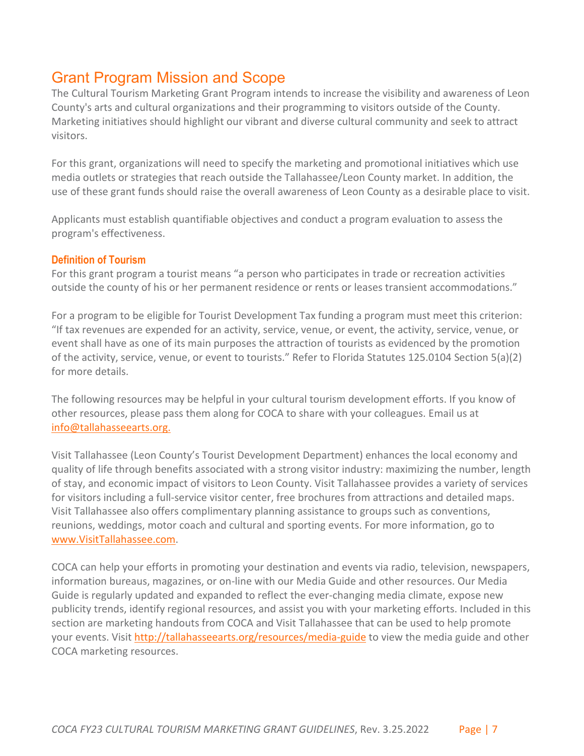# <span id="page-6-0"></span>Grant Program Mission and Scope

The Cultural Tourism Marketing Grant Program intends to increase the visibility and awareness of Leon County's arts and cultural organizations and their programming to visitors outside of the County. Marketing initiatives should highlight our vibrant and diverse cultural community and seek to attract visitors.

For this grant, organizations will need to specify the marketing and promotional initiatives which use media outlets or strategies that reach outside the Tallahassee/Leon County market. In addition, the use of these grant funds should raise the overall awareness of Leon County as a desirable place to visit.

Applicants must establish quantifiable objectives and conduct a program evaluation to assess the program's effectiveness.

#### <span id="page-6-1"></span>**Definition of Tourism**

For this grant program a tourist means "a person who participates in trade or recreation activities outside the county of his or her permanent residence or rents or leases transient accommodations."

For a program to be eligible for Tourist Development Tax funding a program must meet this criterion: "If tax revenues are expended for an activity, service, venue, or event, the activity, service, venue, or event shall have as one of its main purposes the attraction of tourists as evidenced by the promotion of the activity, service, venue, or event to tourists." Refer to Florida Statutes 125.0104 Section 5(a)(2) for more details.

The following resources may be helpful in your cultural tourism development efforts. If you know of other resources, please pass them along for COCA to share with your colleagues. Email us at [info@tallahasseearts.org.](mailto:info@tallahasseearts.org)

Visit Tallahassee (Leon County's Tourist Development Department) enhances the local economy and quality of life through benefits associated with a strong visitor industry: maximizing the number, length of stay, and economic impact of visitors to Leon County. Visit Tallahassee provides a variety of services for visitors including a full-service visitor center, free brochures from attractions and detailed maps. Visit Tallahassee also offers complimentary planning assistance to groups such as conventions, reunions, weddings, motor coach and cultural and sporting events. For more information, go to [www.VisitTallahassee.com.](http://www.visittallahassee.com/)

COCA can help your efforts in promoting your destination and events via radio, television, newspapers, information bureaus, magazines, or on-line with our Media Guide and other resources. Our Media Guide is regularly updated and expanded to reflect the ever-changing media climate, expose new publicity trends, identify regional resources, and assist you with your marketing efforts. Included in this section are marketing handouts from COCA and Visit Tallahassee that can be used to help promote your events. Visit<http://tallahasseearts.org/resources/media-guide> to view the media guide and other COCA marketing resources.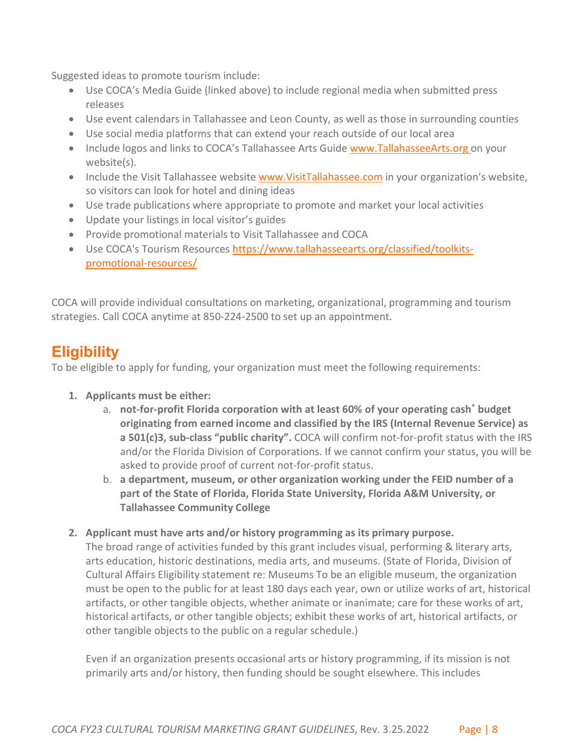Suggested ideas to promote tourism include:

- Use COCA's Media Guide (linked above) to include regional media when submitted press releases
- Use event calendars in Tallahassee and Leon County, as well as those in surrounding counties
- Use social media platforms that can extend your reach outside of our local area
- Include logos and links to COCA's Tallahassee Arts Guide [www.TallahasseeArts.org o](http://www.tallahasseearts.org/)n your website(s).
- Include the Visit Tallahassee website [www.VisitTallahassee.com](http://www.visittallahassee.com/) in your organization's website, so visitors can look for hotel and dining ideas
- Use trade publications where appropriate to promote and market your local activities
- Update your listings in local visitor's guides
- Provide promotional materials to Visit Tallahassee and COCA
- Use COCA's Tourism Resources [https://www.tallahasseearts.org/classified/toolkits](https://www.tallahasseearts.org/classified/toolkits-promotional-resources/)[promotional-resources/](https://www.tallahasseearts.org/classified/toolkits-promotional-resources/)

COCA will provide individual consultations on marketing, organizational, programming and tourism strategies. Call COCA anytime at 850-224-2500 to set up an appointment.

# <span id="page-7-0"></span>**Eligibility**

To be eligible to apply for funding, your organization must meet the following requirements:

- **1. Applicants must be either:** 
	- a. **not-for-profit Florida corporation with at least 60% of your operating cash\* budget originating from earned income and classified by the IRS (Internal Revenue Service) as a 501(c)3, sub-class "public charity".** COCA will confirm not-for-profit status with the IRS and/or the Florida Division of Corporations. If we cannot confirm your status, you will be asked to provide proof of current not-for-profit status.
	- b. **a department, museum, or other organization working under the FEID number of a part of the State of Florida, Florida State University, Florida A&M University, or Tallahassee Community College**
- **2. Applicant must have arts and/or history programming as its primary purpose.**

The broad range of activities funded by this grant includes visual, performing & literary arts, arts education, historic destinations, media arts, and museums. (State of Florida, Division of Cultural Affairs Eligibility statement re: Museums To be an eligible museum, the organization must be open to the public for at least 180 days each year, own or utilize works of art, historical artifacts, or other tangible objects, whether animate or inanimate; care for these works of art, historical artifacts, or other tangible objects; exhibit these works of art, historical artifacts, or other tangible objects to the public on a regular schedule.)

Even if an organization presents occasional arts or history programming, if its mission is not primarily arts and/or history, then funding should be sought elsewhere. This includes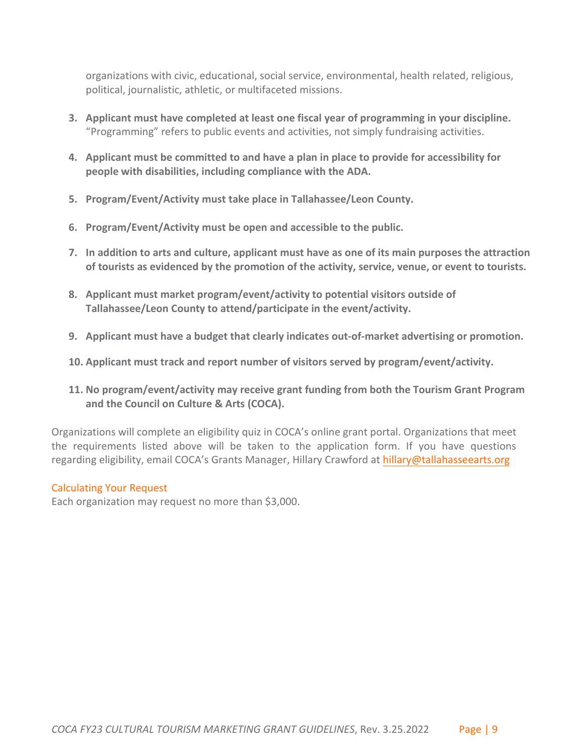organizations with civic, educational, social service, environmental, health related, religious, political, journalistic, athletic, or multifaceted missions.

- **3. Applicant must have completed at least one fiscal year of programming in your discipline.** "Programming" refers to public events and activities, not simply fundraising activities.
- **4. Applicant must be committed to and have a plan in place to provide for accessibility for people with disabilities, including compliance with the ADA.**
- **5. Program/Event/Activity must take place in Tallahassee/Leon County.**
- **6. Program/Event/Activity must be open and accessible to the public.**
- **7. In addition to arts and culture, applicant must have as one of its main purposes the attraction of tourists as evidenced by the promotion of the activity, service, venue, or event to tourists.**
- **8. Applicant must market program/event/activity to potential visitors outside of Tallahassee/Leon County to attend/participate in the event/activity.**
- **9. Applicant must have a budget that clearly indicates out-of-market advertising or promotion.**
- **10. Applicant must track and report number of visitors served by program/event/activity.**
- **11. No program/event/activity may receive grant funding from both the Tourism Grant Program and the Council on Culture & Arts (COCA).**

Organizations will complete an eligibility quiz in COCA's online grant portal. Organizations that meet the requirements listed above will be taken to the application form. If you have questions regarding eligibility, email COCA's Grants Manager, Hillary C[rawford at hillary@tallahasseearts.org](mailto:hillary@tallahasseearts.org)

### Calculating Your Request

Each organization may request no more than \$3,000.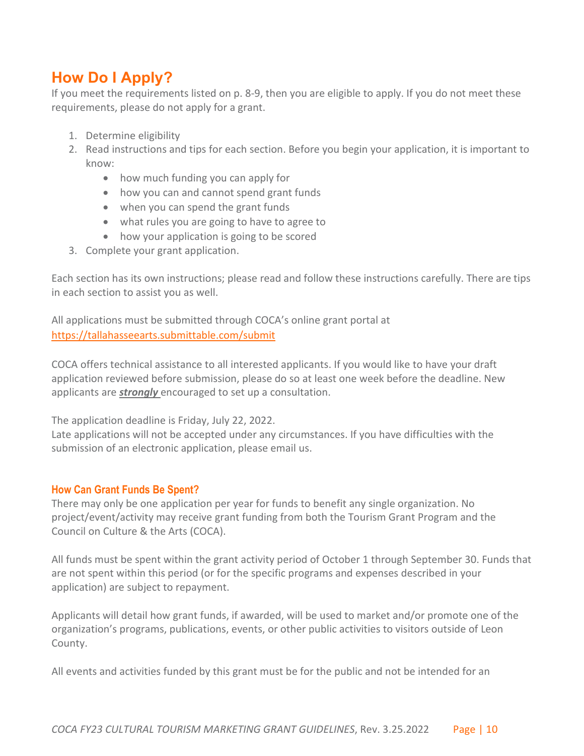# <span id="page-9-0"></span>**How Do I Apply?**

If you meet the requirements listed on p. 8-9, then you are eligible to apply. If you do not meet these requirements, please do not apply for a grant.

- 1. Determine eligibility
- 2. Read instructions and tips for each section. Before you begin your application, it is important to know:
	- how much funding you can apply for
	- how you can and cannot spend grant funds
	- when you can spend the grant funds
	- what rules you are going to have to agree to
	- how your application is going to be scored
- 3. Complete your grant application.

Each section has its own instructions; please read and follow these instructions carefully. There are tips in each section to assist you as well.

All applications must be submitted through COCA's online grant portal at <https://tallahasseearts.submittable.com/submit>

COCA offers technical assistance to all interested applicants. If you would like to have your draft application reviewed before submission, please do so at least one week before the deadline. New applicants are *strongly* encouraged to set up a consultation.

The application deadline is Friday, July 22, 2022.

Late applications will not be accepted under any circumstances. If you have difficulties with the submission of an electronic application, please email us.

### <span id="page-9-1"></span>**How Can Grant Funds Be Spent?**

There may only be one application per year for funds to benefit any single organization. No project/event/activity may receive grant funding from both the Tourism Grant Program and the Council on Culture & the Arts (COCA).

All funds must be spent within the grant activity period of October 1 through September 30. Funds that are not spent within this period (or for the specific programs and expenses described in your application) are subject to repayment.

Applicants will detail how grant funds, if awarded, will be used to market and/or promote one of the organization's programs, publications, events, or other public activities to visitors outside of Leon County.

All events and activities funded by this grant must be for the public and not be intended for an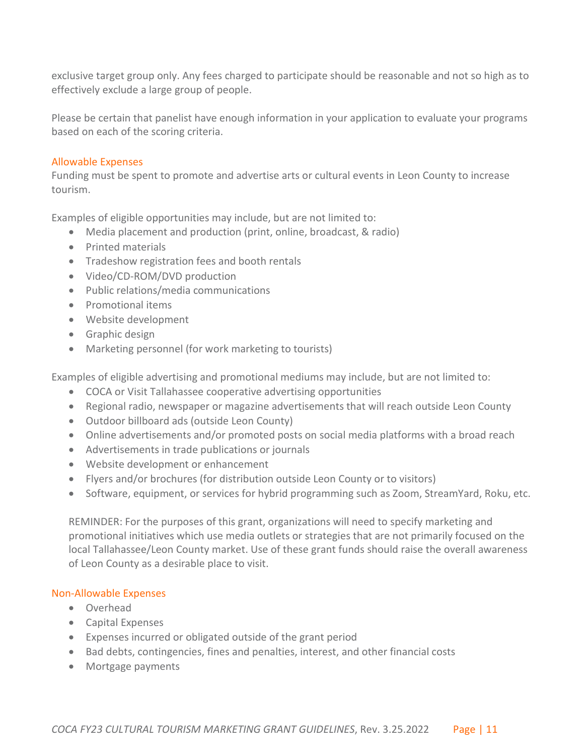exclusive target group only. Any fees charged to participate should be reasonable and not so high as to effectively exclude a large group of people.

Please be certain that panelist have enough information in your application to evaluate your programs based on each of the scoring criteria.

### <span id="page-10-0"></span>Allowable Expenses

Funding must be spent to promote and advertise arts or cultural events in Leon County to increase tourism.

Examples of eligible opportunities may include, but are not limited to:

- Media placement and production (print, online, broadcast, & radio)
- Printed materials
- Tradeshow registration fees and booth rentals
- Video/CD-ROM/DVD production
- Public relations/media communications
- Promotional items
- Website development
- Graphic design
- Marketing personnel (for work marketing to tourists)

Examples of eligible advertising and promotional mediums may include, but are not limited to:

- COCA or Visit Tallahassee cooperative advertising opportunities
- Regional radio, newspaper or magazine advertisements that will reach outside Leon County
- Outdoor billboard ads (outside Leon County)
- Online advertisements and/or promoted posts on social media platforms with a broad reach
- Advertisements in trade publications or journals
- Website development or enhancement
- Flyers and/or brochures (for distribution outside Leon County or to visitors)
- Software, equipment, or services for hybrid programming such as Zoom, StreamYard, Roku, etc.

REMINDER: For the purposes of this grant, organizations will need to specify marketing and promotional initiatives which use media outlets or strategies that are not primarily focused on the local Tallahassee/Leon County market. Use of these grant funds should raise the overall awareness of Leon County as a desirable place to visit.

### <span id="page-10-1"></span>Non-Allowable Expenses

- Overhead
- Capital Expenses
- Expenses incurred or obligated outside of the grant period
- Bad debts, contingencies, fines and penalties, interest, and other financial costs
- Mortgage payments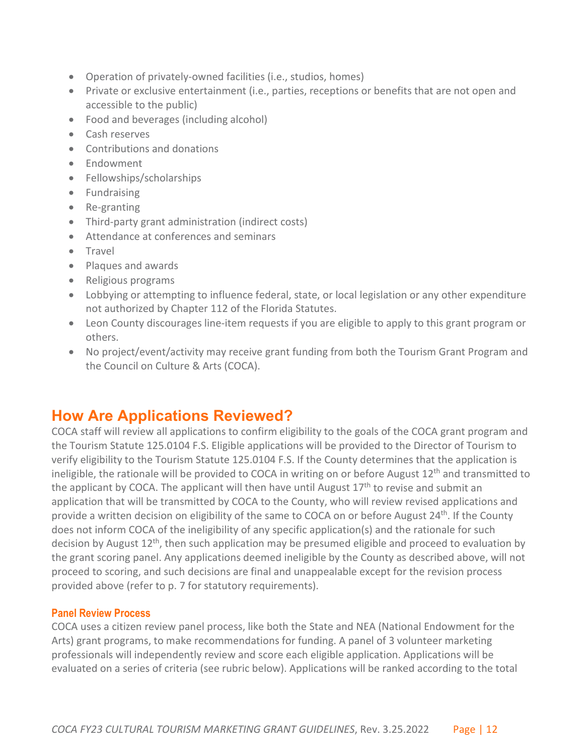- Operation of privately-owned facilities (i.e., studios, homes)
- Private or exclusive entertainment (i.e., parties, receptions or benefits that are not open and accessible to the public)
- Food and beverages (including alcohol)
- Cash reserves
- Contributions and donations
- Endowment
- Fellowships/scholarships
- Fundraising
- Re-granting
- Third-party grant administration (indirect costs)
- Attendance at conferences and seminars
- Travel
- Plaques and awards
- Religious programs
- Lobbying or attempting to influence federal, state, or local legislation or any other expenditure not authorized by Chapter 112 of the Florida Statutes.
- Leon County discourages line-item requests if you are eligible to apply to this grant program or others.
- <span id="page-11-1"></span>• No project/event/activity may receive grant funding from both the Tourism Grant Program and the Council on Culture & Arts (COCA).

# <span id="page-11-0"></span>**How Are Applications Reviewed?**

COCA staff will review all applications to confirm eligibility to the goals of the COCA grant program and the Tourism Statute 125.0104 F.S. Eligible applications will be provided to the Director of Tourism to verify eligibility to the Tourism Statute 125.0104 F.S. If the County determines that the application is ineligible, the rationale will be provided to COCA in writing on or before August  $12<sup>th</sup>$  and transmitted to the applicant by COCA. The applicant will then have until August  $17<sup>th</sup>$  to revise and submit an application that will be transmitted by COCA to the County, who will review revised applications and provide a written decision on eligibility of the same to COCA on or before August  $24<sup>th</sup>$ . If the County does not inform COCA of the ineligibility of any specific application(s) and the rationale for such decision by August  $12<sup>th</sup>$ , then such application may be presumed eligible and proceed to evaluation by the grant scoring panel. Any applications deemed ineligible by the County as described above, will not proceed to scoring, and such decisions are final and unappealable except for the revision process provided above (refer to p. 7 for statutory requirements).

#### <span id="page-11-2"></span>**Panel Review Process**

COCA uses a citizen review panel process, like both the State and NEA (National Endowment for the Arts) grant programs, to make recommendations for funding. A panel of 3 volunteer marketing professionals will independently review and score each eligible application. Applications will be evaluated on a series of criteria (see rubric below). Applications will be ranked according to the total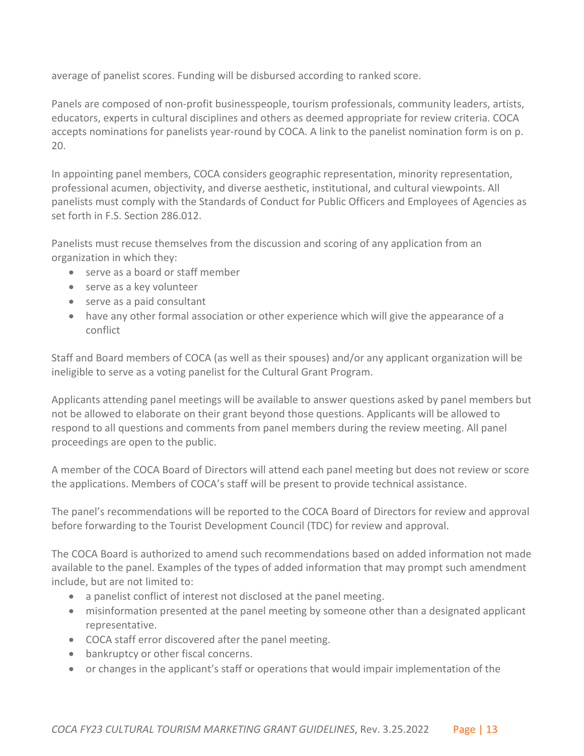average of panelist scores. Funding will be disbursed according to ranked score.

Panels are composed of non-profit businesspeople, tourism professionals, community leaders, artists, educators, experts in cultural disciplines and others as deemed appropriate for review criteria. COCA accepts nominations for panelists year-round by COCA. A link to the panelist nomination form is on p. 20.

In appointing panel members, COCA considers geographic representation, minority representation, professional acumen, objectivity, and diverse aesthetic, institutional, and cultural viewpoints. All panelists must comply with the Standards of Conduct for Public Officers and Employees of Agencies as set forth in F.S. Section 286.012.

Panelists must recuse themselves from the discussion and scoring of any application from an organization in which they:

- serve as a board or staff member
- serve as a key volunteer
- serve as a paid consultant
- have any other formal association or other experience which will give the appearance of a conflict

Staff and Board members of COCA (as well as their spouses) and/or any applicant organization will be ineligible to serve as a voting panelist for the Cultural Grant Program.

Applicants attending panel meetings will be available to answer questions asked by panel members but not be allowed to elaborate on their grant beyond those questions. Applicants will be allowed to respond to all questions and comments from panel members during the review meeting. All panel proceedings are open to the public.

A member of the COCA Board of Directors will attend each panel meeting but does not review or score the applications. Members of COCA's staff will be present to provide technical assistance.

The panel's recommendations will be reported to the COCA Board of Directors for review and approval before forwarding to the Tourist Development Council (TDC) for review and approval.

The COCA Board is authorized to amend such recommendations based on added information not made available to the panel. Examples of the types of added information that may prompt such amendment include, but are not limited to:

- a panelist conflict of interest not disclosed at the panel meeting.
- misinformation presented at the panel meeting by someone other than a designated applicant representative.
- COCA staff error discovered after the panel meeting.
- bankruptcy or other fiscal concerns.
- or changes in the applicant's staff or operations that would impair implementation of the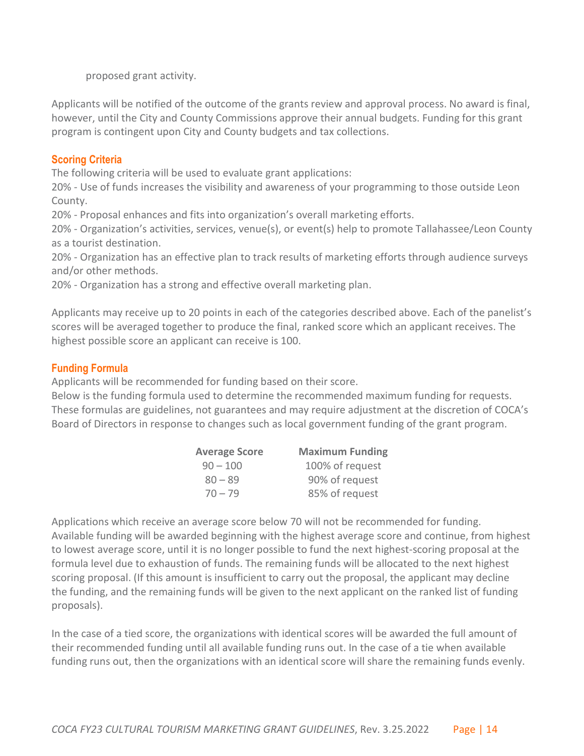proposed grant activity.

Applicants will be notified of the outcome of the grants review and approval process. No award is final, however, until the City and County Commissions approve their annual budgets. Funding for this grant program is contingent upon City and County budgets and tax collections.

## <span id="page-13-0"></span>**Scoring Criteria**

The following criteria will be used to evaluate grant applications:

20% - Use of funds increases the visibility and awareness of your programming to those outside Leon County.

20% - Proposal enhances and fits into organization's overall marketing efforts.

20% - Organization's activities, services, venue(s), or event(s) help to promote Tallahassee/Leon County as a tourist destination.

20% - Organization has an effective plan to track results of marketing efforts through audience surveys and/or other methods.

20% - Organization has a strong and effective overall marketing plan.

Applicants may receive up to 20 points in each of the categories described above. Each of the panelist's scores will be averaged together to produce the final, ranked score which an applicant receives. The highest possible score an applicant can receive is 100.

### <span id="page-13-1"></span>**Funding Formula**

Applicants will be recommended for funding based on their score.

Below is the funding formula used to determine the recommended maximum funding for requests. These formulas are guidelines, not guarantees and may require adjustment at the discretion of COCA's Board of Directors in response to changes such as local government funding of the grant program.

| <b>Average Score</b> | <b>Maximum Funding</b> |
|----------------------|------------------------|
| $90 - 100$           | 100% of request        |
| $80 - 89$            | 90% of request         |
| $70 - 79$            | 85% of request         |

Applications which receive an average score below 70 will not be recommended for funding. Available funding will be awarded beginning with the highest average score and continue, from highest to lowest average score, until it is no longer possible to fund the next highest-scoring proposal at the formula level due to exhaustion of funds. The remaining funds will be allocated to the next highest scoring proposal. (If this amount is insufficient to carry out the proposal, the applicant may decline the funding, and the remaining funds will be given to the next applicant on the ranked list of funding proposals).

In the case of a tied score, the organizations with identical scores will be awarded the full amount of their recommended funding until all available funding runs out. In the case of a tie when available funding runs out, then the organizations with an identical score will share the remaining funds evenly.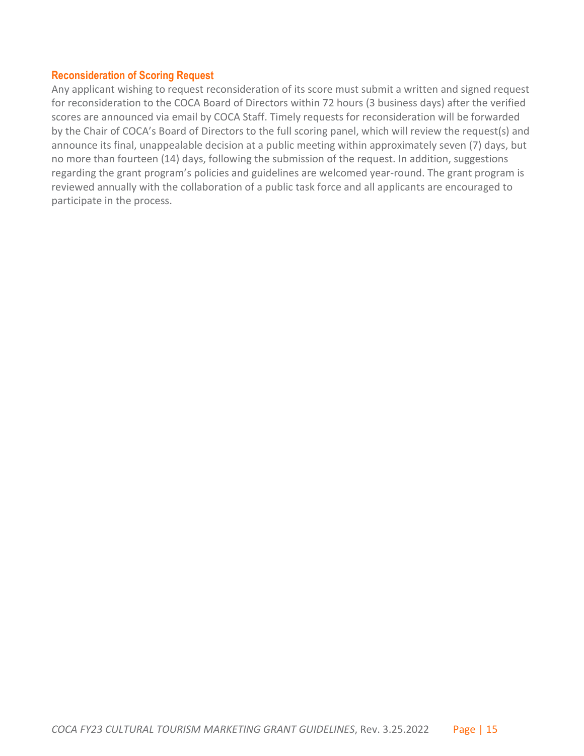#### <span id="page-14-0"></span>**Reconsideration of Scoring Request**

Any applicant wishing to request reconsideration of its score must submit a written and signed request for reconsideration to the COCA Board of Directors within 72 hours (3 business days) after the verified scores are announced via email by COCA Staff. Timely requests for reconsideration will be forwarded by the Chair of COCA's Board of Directors to the full scoring panel, which will review the request(s) and announce its final, unappealable decision at a public meeting within approximately seven (7) days, but no more than fourteen (14) days, following the submission of the request. In addition, suggestions regarding the grant program's policies and guidelines are welcomed year-round. The grant program is reviewed annually with the collaboration of a public task force and all applicants are encouraged to participate in the process.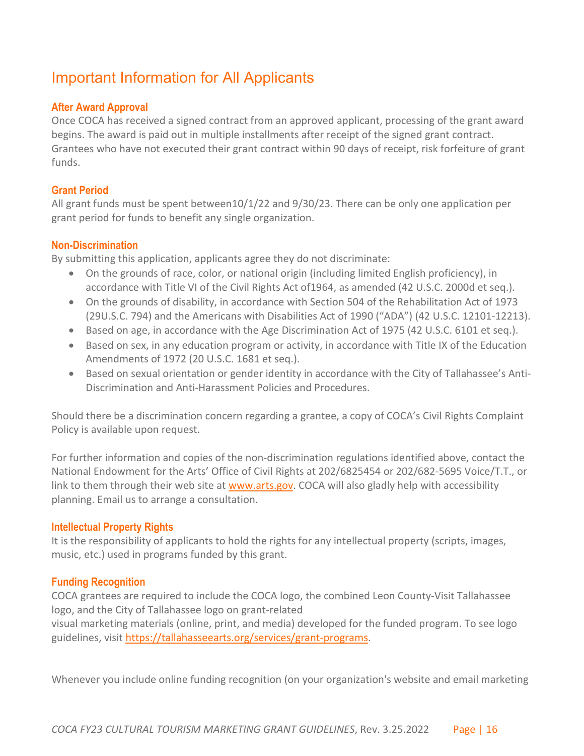# <span id="page-15-0"></span>Important Information for All Applicants

## <span id="page-15-1"></span>**After Award Approval**

Once COCA has received a signed contract from an approved applicant, processing of the grant award begins. The award is paid out in multiple installments after receipt of the signed grant contract. Grantees who have not executed their grant contract within 90 days of receipt, risk forfeiture of grant funds.

### <span id="page-15-2"></span>**Grant Period**

All grant funds must be spent between10/1/22 and 9/30/23. There can be only one application per grant period for funds to benefit any single organization.

### <span id="page-15-3"></span>**Non-Discrimination**

By submitting this application, applicants agree they do not discriminate:

- On the grounds of race, color, or national origin (including limited English proficiency), in accordance with Title VI of the Civil Rights Act of1964, as amended (42 U.S.C. 2000d et seq.).
- On the grounds of disability, in accordance with Section 504 of the Rehabilitation Act of 1973 (29U.S.C. 794) and the Americans with Disabilities Act of 1990 ("ADA") (42 U.S.C. 12101-12213).
- Based on age, in accordance with the Age Discrimination Act of 1975 (42 U.S.C. 6101 et seq.).
- Based on sex, in any education program or activity, in accordance with Title IX of the Education Amendments of 1972 (20 U.S.C. 1681 et seq.).
- Based on sexual orientation or gender identity in accordance with the City of Tallahassee's Anti-Discrimination and Anti-Harassment Policies and Procedures.

Should there be a discrimination concern regarding a grantee, a copy of COCA's Civil Rights Complaint Policy is available upon request.

For further information and copies of the non-discrimination regulations identified above, contact the National Endowment for the Arts' Office of Civil Rights at 202/6825454 or 202/682-5695 Voice/T.T., or link to them through their web site at [www.arts.gov.](http://www.arts.gov/) COCA will also gladly help with accessibility planning. Email us to arrange a consultation.

### <span id="page-15-4"></span>**Intellectual Property Rights**

It is the responsibility of applicants to hold the rights for any intellectual property (scripts, images, music, etc.) used in programs funded by this grant.

### <span id="page-15-5"></span>**Funding Recognition**

COCA grantees are required to include the COCA logo, the combined Leon County-Visit Tallahassee logo, and the City of Tallahassee logo on grant-related visual marketing materials (online, print, and media) developed for the funded program. To see logo guidelines, visit [https://tallahasseearts.org/services/grant-programs.](https://tallahasseearts.org/services/grant-programs)

Whenever you include online funding recognition (on your organization's website and email marketing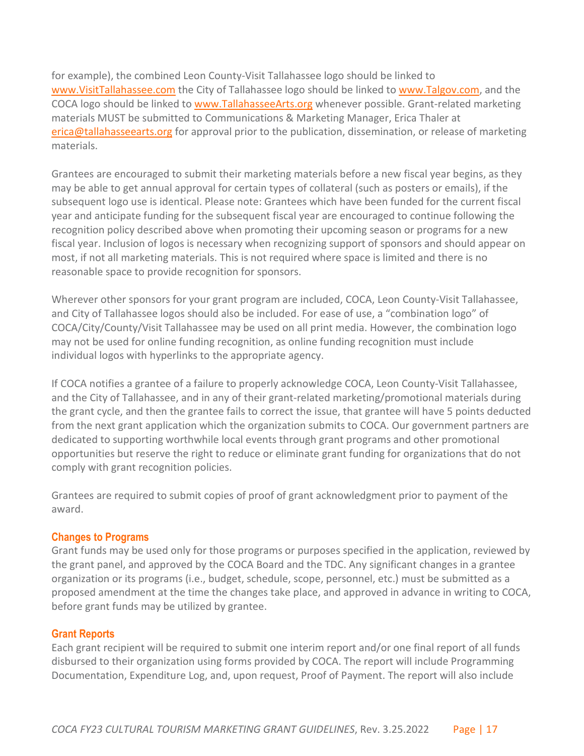for example), the combined Leon County-Visit Tallahassee logo should be linked to [www.VisitTallahassee.com](http://www.visittallahassee.com/) the City of Tallahassee logo should be linked to [www.Talgov.com,](http://www.talgov.com/) and the COCA logo should be linked to [www.TallahasseeArts.org](http://www.tallahasseearts.org/) whenever possible. Grant-related marketing materials MUST be submitted to Communications & Marketing Manager, Erica Thaler at [erica@tallahasseearts.org](mailto:erica@tallahasseearts.org) for approval prior to the publication, dissemination, or release of marketing materials.

Grantees are encouraged to submit their marketing materials before a new fiscal year begins, as they may be able to get annual approval for certain types of collateral (such as posters or emails), if the subsequent logo use is identical. Please note: Grantees which have been funded for the current fiscal year and anticipate funding for the subsequent fiscal year are encouraged to continue following the recognition policy described above when promoting their upcoming season or programs for a new fiscal year. Inclusion of logos is necessary when recognizing support of sponsors and should appear on most, if not all marketing materials. This is not required where space is limited and there is no reasonable space to provide recognition for sponsors.

Wherever other sponsors for your grant program are included, COCA, Leon County-Visit Tallahassee, and City of Tallahassee logos should also be included. For ease of use, a "combination logo" of COCA/City/County/Visit Tallahassee may be used on all print media. However, the combination logo may not be used for online funding recognition, as online funding recognition must include individual logos with hyperlinks to the appropriate agency.

If COCA notifies a grantee of a failure to properly acknowledge COCA, Leon County-Visit Tallahassee, and the City of Tallahassee, and in any of their grant-related marketing/promotional materials during the grant cycle, and then the grantee fails to correct the issue, that grantee will have 5 points deducted from the next grant application which the organization submits to COCA. Our government partners are dedicated to supporting worthwhile local events through grant programs and other promotional opportunities but reserve the right to reduce or eliminate grant funding for organizations that do not comply with grant recognition policies.

Grantees are required to submit copies of proof of grant acknowledgment prior to payment of the award.

### <span id="page-16-0"></span>**Changes to Programs**

Grant funds may be used only for those programs or purposes specified in the application, reviewed by the grant panel, and approved by the COCA Board and the TDC. Any significant changes in a grantee organization or its programs (i.e., budget, schedule, scope, personnel, etc.) must be submitted as a proposed amendment at the time the changes take place, and approved in advance in writing to COCA, before grant funds may be utilized by grantee.

#### <span id="page-16-1"></span>**Grant Reports**

Each grant recipient will be required to submit one interim report and/or one final report of all funds disbursed to their organization using forms provided by COCA. The report will include Programming Documentation, Expenditure Log, and, upon request, Proof of Payment. The report will also include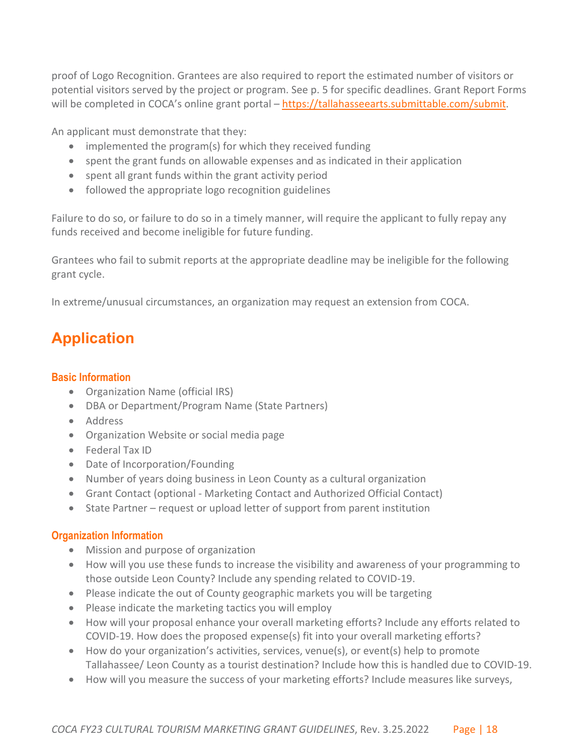proof of Logo Recognition. Grantees are also required to report the estimated number of visitors or potential visitors served by the project or program. See p. 5 for specific deadlines. Grant Report Forms will be completed in COCA's online grant portal – [https://tallahasseearts.submittable.com/submit.](https://tallahasseearts.submittable.com/submit)

An applicant must demonstrate that they:

- implemented the program(s) for which they received funding
- spent the grant funds on allowable expenses and as indicated in their application
- spent all grant funds within the grant activity period
- followed the appropriate logo recognition guidelines

Failure to do so, or failure to do so in a timely manner, will require the applicant to fully repay any funds received and become ineligible for future funding.

Grantees who fail to submit reports at the appropriate deadline may be ineligible for the following grant cycle.

In extreme/unusual circumstances, an organization may request an extension from COCA.

# <span id="page-17-0"></span>**Application**

#### <span id="page-17-1"></span>**Basic Information**

- Organization Name (official IRS)
- DBA or Department/Program Name (State Partners)
- Address
- Organization Website or social media page
- Federal Tax ID
- Date of Incorporation/Founding
- Number of years doing business in Leon County as a cultural organization
- Grant Contact (optional Marketing Contact and Authorized Official Contact)
- State Partner request or upload letter of support from parent institution

#### <span id="page-17-2"></span>**Organization Information**

- Mission and purpose of organization
- How will you use these funds to increase the visibility and awareness of your programming to those outside Leon County? Include any spending related to COVID-19.
- Please indicate the out of County geographic markets you will be targeting
- Please indicate the marketing tactics you will employ
- How will your proposal enhance your overall marketing efforts? Include any efforts related to COVID-19. How does the proposed expense(s) fit into your overall marketing efforts?
- How do your organization's activities, services, venue(s), or event(s) help to promote Tallahassee/ Leon County as a tourist destination? Include how this is handled due to COVID-19.
- How will you measure the success of your marketing efforts? Include measures like surveys,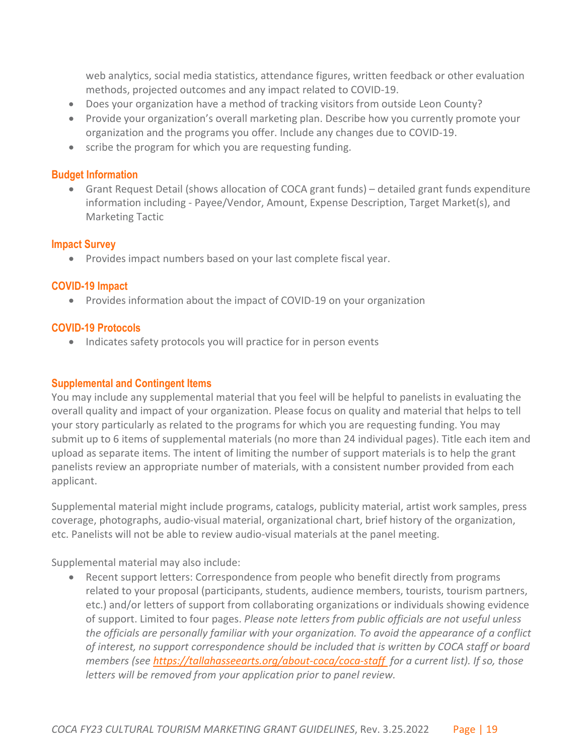web analytics, social media statistics, attendance figures, written feedback or other evaluation methods, projected outcomes and any impact related to COVID-19.

- Does your organization have a method of tracking visitors from outside Leon County?
- Provide your organization's overall marketing plan. Describe how you currently promote your organization and the programs you offer. Include any changes due to COVID-19.
- scribe the program for which you are requesting funding.

#### <span id="page-18-0"></span>**Budget Information**

• Grant Request Detail (shows allocation of COCA grant funds) – detailed grant funds expenditure information including - Payee/Vendor, Amount, Expense Description, Target Market(s), and Marketing Tactic

#### <span id="page-18-1"></span>**Impact Survey**

• Provides impact numbers based on your last complete fiscal year.

### <span id="page-18-2"></span>**COVID-19 Impact**

• Provides information about the impact of COVID-19 on your organization

#### <span id="page-18-3"></span>**COVID-19 Protocols**

• Indicates safety protocols you will practice for in person events

#### <span id="page-18-4"></span>**Supplemental and Contingent Items**

You may include any supplemental material that you feel will be helpful to panelists in evaluating the overall quality and impact of your organization. Please focus on quality and material that helps to tell your story particularly as related to the programs for which you are requesting funding. You may submit up to 6 items of supplemental materials (no more than 24 individual pages). Title each item and upload as separate items. The intent of limiting the number of support materials is to help the grant panelists review an appropriate number of materials, with a consistent number provided from each applicant.

Supplemental material might include programs, catalogs, publicity material, artist work samples, press coverage, photographs, audio-visual material, organizational chart, brief history of the organization, etc. Panelists will not be able to review audio-visual materials at the panel meeting.

Supplemental material may also include:

• Recent support letters: Correspondence from people who benefit directly from programs related to your proposal (participants, students, audience members, tourists, tourism partners, etc.) and/or letters of support from collaborating organizations or individuals showing evidence of support. Limited to four pages. *Please note letters from public officials are not useful unless the officials are personally familiar with your organization. To avoid the appearance of a conflict of interest, no support correspondence should be included that is written by COCA staff or board members (see<https://tallahasseearts.org/>[about-coca/coca-staff](https://coca.tallahasseearts.org/about-coca/coca-staff) for a current list). If so, those letters will be removed from your application prior to panel review.*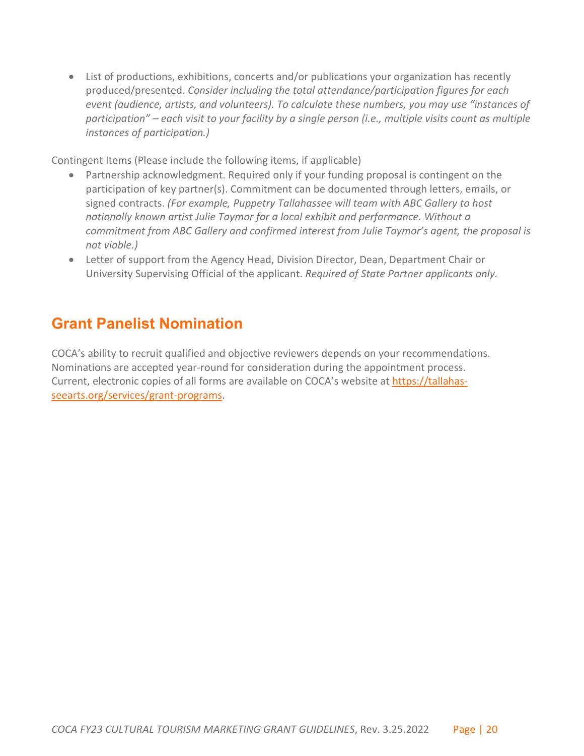• List of productions, exhibitions, concerts and/or publications your organization has recently produced/presented. *Consider including the total attendance/participation figures for each event (audience, artists, and volunteers). To calculate these numbers, you may use "instances of participation" – each visit to your facility by a single person (i.e., multiple visits count as multiple instances of participation.)*

Contingent Items (Please include the following items, if applicable)

- Partnership acknowledgment. Required only if your funding proposal is contingent on the participation of key partner(s). Commitment can be documented through letters, emails, or signed contracts. *(For example, Puppetry Tallahassee will team with ABC Gallery to host nationally known artist Julie Taymor for a local exhibit and performance. Without a commitment from ABC Gallery and confirmed interest from Julie Taymor's agent, the proposal is not viable.)*
- Letter of support from the Agency Head, Division Director, Dean, Department Chair or University Supervising Official of the applicant. *Required of State Partner applicants only.*

# <span id="page-19-0"></span>**Grant Panelist Nomination**

COCA's ability to recruit qualified and objective reviewers depends on your recommendations. Nominations are accepted year-round for consideration during the appointment process. Current, electronic copies of all forms are available on COCA's website at [https://tallahas](https://tallahas-/)[seearts.org/services/grant-programs.](https://coca.tallahasseearts.org/services/grant-programs)